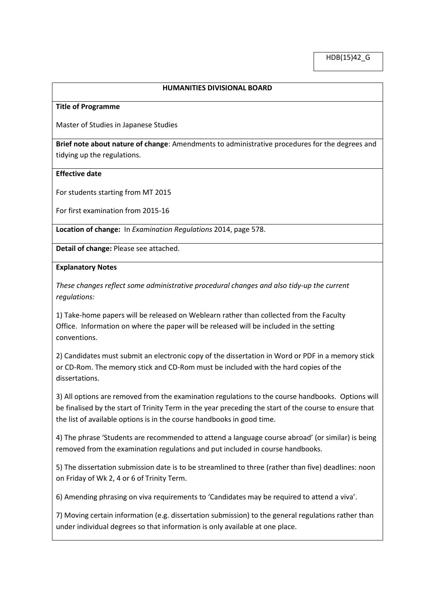# **HUMANITIES DIVISIONAL BOARD**

### **Title of Programme**

Master of Studies in Japanese Studies

**Brief note about nature of change**: Amendments to administrative procedures for the degrees and tidying up the regulations.

## **Effective date**

For students starting from MT 2015

For first examination from 2015-16

**Location of change:** In *Examination Regulations* 2014, page 578.

**Detail of change:** Please see attached.

### **Explanatory Notes**

*These changes reflect some administrative procedural changes and also tidy-up the current regulations:*

1) Take-home papers will be released on Weblearn rather than collected from the Faculty Office. Information on where the paper will be released will be included in the setting conventions.

2) Candidates must submit an electronic copy of the dissertation in Word or PDF in a memory stick or CD-Rom. The memory stick and CD-Rom must be included with the hard copies of the dissertations.

3) All options are removed from the examination regulations to the course handbooks. Options will be finalised by the start of Trinity Term in the year preceding the start of the course to ensure that the list of available options is in the course handbooks in good time.

4) The phrase 'Students are recommended to attend a language course abroad' (or similar) is being removed from the examination regulations and put included in course handbooks.

5) The dissertation submission date is to be streamlined to three (rather than five) deadlines: noon on Friday of Wk 2, 4 or 6 of Trinity Term.

6) Amending phrasing on viva requirements to 'Candidates may be required to attend a viva'.

7) Moving certain information (e.g. dissertation submission) to the general regulations rather than under individual degrees so that information is only available at one place.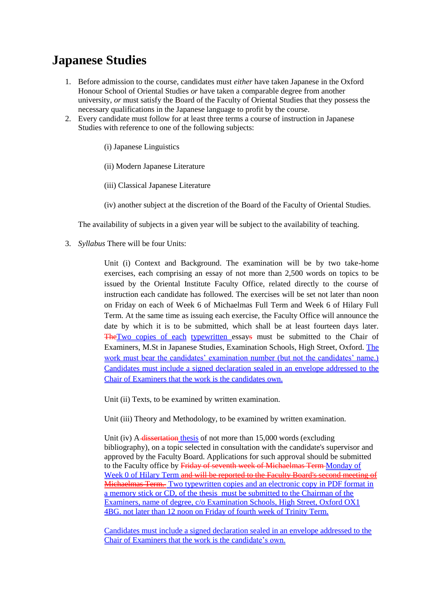# **Japanese Studies**

- 1. Before admission to the course, candidates must *either* have taken Japanese in the Oxford Honour School of Oriental Studies *or* have taken a comparable degree from another university, *or* must satisfy the Board of the Faculty of Oriental Studies that they possess the necessary qualifications in the Japanese language to profit by the course.
- 2. Every candidate must follow for at least three terms a course of instruction in Japanese Studies with reference to one of the following subjects:
	- (i) Japanese Linguistics
	- (ii) Modern Japanese Literature
	- (iii) Classical Japanese Literature
	- (iv) another subject at the discretion of the Board of the Faculty of Oriental Studies.

The availability of subjects in a given year will be subject to the availability of teaching.

3. *Syllabus* There will be four Units:

Unit (i) Context and Background. The examination will be by two take-home exercises, each comprising an essay of not more than 2,500 words on topics to be issued by the Oriental Institute Faculty Office, related directly to the course of instruction each candidate has followed. The exercises will be set not later than noon on Friday on each of Week 6 of Michaelmas Full Term and Week 6 of Hilary Full Term. At the same time as issuing each exercise, the Faculty Office will announce the date by which it is to be submitted, which shall be at least fourteen days later. The Two copies of each typewritten essays must be submitted to the Chair of Examiners, M.St in Japanese Studies, Examination Schools, High Street, Oxford. The work must bear the candidates' examination number (but not the candidates' name.) Candidates must include a signed declaration sealed in an envelope addressed to the Chair of Examiners that the work is the candidates own.

Unit (ii) Texts, to be examined by written examination.

Unit (iii) Theory and Methodology, to be examined by written examination.

Unit (iv) A dissertation thesis of not more than 15,000 words (excluding bibliography), on a topic selected in consultation with the candidate's supervisor and approved by the Faculty Board. Applications for such approval should be submitted to the Faculty office by Friday of seventh week of Michaelmas Term Monday of Week 0 of Hilary Term and will be reported to the Faculty Board's second meeting of Michaelmas Term. Two typewritten copies and an electronic copy in PDF format in a memory stick or CD, of the thesis must be submitted to the Chairman of the Examiners, name of degree, c/o Examination Schools, High Street, Oxford OX1 4BG. not later than 12 noon on Friday of fourth week of Trinity Term.

Candidates must include a signed declaration sealed in an envelope addressed to the Chair of Examiners that the work is the candidate's own.